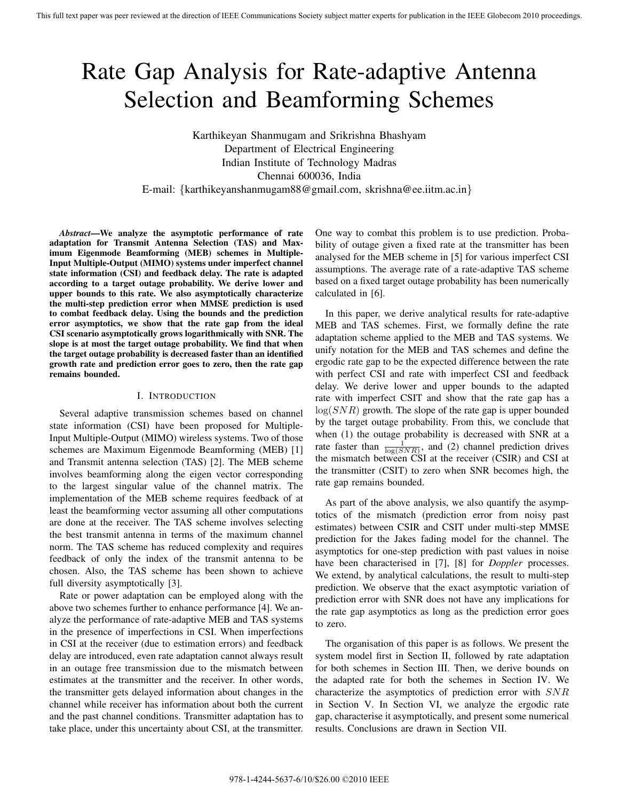# Rate Gap Analysis for Rate-adaptive Antenna Selection and Beamforming Schemes

Karthikeyan Shanmugam and Srikrishna Bhashyam Department of Electrical Engineering Indian Institute of Technology Madras Chennai 600036, India E-mail: {karthikeyanshanmugam88@gmail.com, skrishna@ee.iitm.ac.in}

*Abstract***—We analyze the asymptotic performance of rate adaptation for Transmit Antenna Selection (TAS) and Maximum Eigenmode Beamforming (MEB) schemes in Multiple-Input Multiple-Output (MIMO) systems under imperfect channel state information (CSI) and feedback delay. The rate is adapted according to a target outage probability. We derive lower and upper bounds to this rate. We also asymptotically characterize the multi-step prediction error when MMSE prediction is used to combat feedback delay. Using the bounds and the prediction error asymptotics, we show that the rate gap from the ideal CSI scenario asymptotically grows logarithmically with SNR. The slope is at most the target outage probability. We find that when the target outage probability is decreased faster than an identified growth rate and prediction error goes to zero, then the rate gap remains bounded.**

## I. INTRODUCTION

Several adaptive transmission schemes based on channel state information (CSI) have been proposed for Multiple-Input Multiple-Output (MIMO) wireless systems. Two of those schemes are Maximum Eigenmode Beamforming (MEB) [1] and Transmit antenna selection (TAS) [2]. The MEB scheme involves beamforming along the eigen vector corresponding to the largest singular value of the channel matrix. The implementation of the MEB scheme requires feedback of at least the beamforming vector assuming all other computations are done at the receiver. The TAS scheme involves selecting the best transmit antenna in terms of the maximum channel norm. The TAS scheme has reduced complexity and requires feedback of only the index of the transmit antenna to be chosen. Also, the TAS scheme has been shown to achieve full diversity asymptotically [3].

Rate or power adaptation can be employed along with the above two schemes further to enhance performance [4]. We analyze the performance of rate-adaptive MEB and TAS systems in the presence of imperfections in CSI. When imperfections in CSI at the receiver (due to estimation errors) and feedback delay are introduced, even rate adaptation cannot always result in an outage free transmission due to the mismatch between estimates at the transmitter and the receiver. In other words, the transmitter gets delayed information about changes in the channel while receiver has information about both the current and the past channel conditions. Transmitter adaptation has to take place, under this uncertainty about CSI, at the transmitter. One way to combat this problem is to use prediction. Probability of outage given a fixed rate at the transmitter has been analysed for the MEB scheme in [5] for various imperfect CSI assumptions. The average rate of a rate-adaptive TAS scheme based on a fixed target outage probability has been numerically calculated in [6].

In this paper, we derive analytical results for rate-adaptive MEB and TAS schemes. First, we formally define the rate adaptation scheme applied to the MEB and TAS systems. We unify notation for the MEB and TAS schemes and define the ergodic rate gap to be the expected difference between the rate with perfect CSI and rate with imperfect CSI and feedback delay. We derive lower and upper bounds to the adapted rate with imperfect CSIT and show that the rate gap has a  $log(SNR)$  growth. The slope of the rate gap is upper bounded by the target outage probability. From this, we conclude that when (1) the outage probability is decreased with SNR at a rate faster than  $\frac{1}{\log(SNR)}$ , and (2) channel prediction drives<br>the mismatch between CSI at the receiver (CSIR) and CSI at the mismatch between CSI at the receiver (CSIR) and CSI at the transmitter (CSIT) to zero when SNR becomes high, the rate gap remains bounded.

As part of the above analysis, we also quantify the asymptotics of the mismatch (prediction error from noisy past estimates) between CSIR and CSIT under multi-step MMSE prediction for the Jakes fading model for the channel. The asymptotics for one-step prediction with past values in noise have been characterised in [7], [8] for *Doppler* processes. We extend, by analytical calculations, the result to multi-step prediction. We observe that the exact asymptotic variation of prediction error with SNR does not have any implications for the rate gap asymptotics as long as the prediction error goes to zero.

The organisation of this paper is as follows. We present the system model first in Section II, followed by rate adaptation for both schemes in Section III. Then, we derive bounds on the adapted rate for both the schemes in Section IV. We characterize the asymptotics of prediction error with SNR in Section V. In Section VI, we analyze the ergodic rate gap, characterise it asymptotically, and present some numerical results. Conclusions are drawn in Section VII.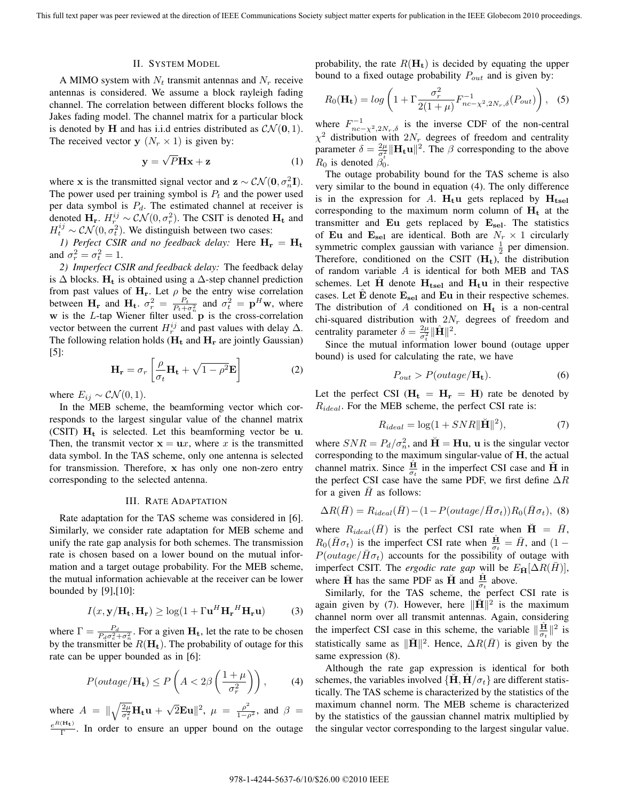#### II. SYSTEM MODEL

A MIMO system with  $N_t$  transmit antennas and  $N_r$  receive antennas is considered. We assume a block rayleigh fading channel. The correlation between different blocks follows the Jakes fading model. The channel matrix for a particular block is denoted by **H** and has i.i.d entries distributed as  $CN(0, 1)$ . The received vector **y**  $(N_r \times 1)$  is given by:

$$
y = \sqrt{P}Hx + z
$$
 (1)

where **x** is the transmitted signal vector and **z** ∼  $CN(0, \sigma_n^2I)$ .<br>The power used per training symbol is *P*, and the power used The power used per training symbol is  $P_t$  and the power used per data symbol is  $P_d$ . The estimated channel at receiver is denoted  $\mathbf{H}_r$ .  $H_r^{ij} \sim \mathcal{CN}(0, \sigma_r^2)$ . The CSIT is denoted  $\mathbf{H}_t$  and  $H_r^{ij} \sim \mathcal{CN}(0, \sigma_r^2)$ . We distinguish between two cases:  $H_t^{ij} \sim \mathcal{CN}(0, \sigma_t^2)$ . We distinguish between two cases:<br>the partect CSIP and no feedback delay: Here H

*1) Perfect CSIR and no feedback delay:* Here  $H_r = H_t$ and  $\sigma_r^2 = \sigma_t^2 = 1$ .<br>
2) Imperfect C

*2) Imperfect CSIR and feedback delay:* The feedback delay is  $\Delta$  blocks.  $H_t$  is obtained using a  $\Delta$ -step channel prediction from past values of  $H_r$ . Let  $\rho$  be the entry wise correlation between  $\mathbf{H}_r$  and  $\mathbf{H}_t$ .  $\sigma_r^2 = \frac{P_t}{P_t + \sigma_n^2}$  and  $\sigma_t^2 = \mathbf{p}^H \mathbf{w}$ , where  **is the** *L***-tap Wiener filter used.<sup>"</sup>** $**p**$  **is the cross-correlation** vector between the current  $H_r^{ij}$  and past values with delay  $\Delta$ .<br>The following relation holds (H, and H, are jointly Gaussian) The following relation holds  $(H_t$  and  $H_r$  are jointly Gaussian)  $\vert 5 \vert$ :

$$
\mathbf{H}_{\mathbf{r}} = \sigma_r \left[ \frac{\rho}{\sigma_t} \mathbf{H}_{\mathbf{t}} + \sqrt{1 - \rho^2} \mathbf{E} \right]
$$
 (2)

where  $E_{ij} \sim \mathcal{CN}(0,1)$ .

In the MEB scheme, the beamforming vector which corresponds to the largest singular value of the channel matrix (CSIT) **H<sup>t</sup>** is selected. Let this beamforming vector be **u**. Then, the transmit vector  $x = \mathbf{u}x$ , where x is the transmitted data symbol. In the TAS scheme, only one antenna is selected for transmission. Therefore, **x** has only one non-zero entry corresponding to the selected antenna.

## III. RATE ADAPTATION

Rate adaptation for the TAS scheme was considered in [6]. Similarly, we consider rate adaptation for MEB scheme and unify the rate gap analysis for both schemes. The transmission rate is chosen based on a lower bound on the mutual information and a target outage probability. For the MEB scheme, the mutual information achievable at the receiver can be lower bounded by [9],[10]:

$$
I(x, \mathbf{y}/\mathbf{H_t}, \mathbf{H_r}) \ge \log(1 + \Gamma \mathbf{u}^H \mathbf{H_r}^H \mathbf{H_r} \mathbf{u})
$$
 (3)

where  $\Gamma = \frac{P_d}{P_d \sigma_e^2 + \sigma_n^2}$ . For a given  $\mathbf{H}_t$ , let the rate to be chosen<br>by the transmitter be  $P(\mathbf{H}_t)$ . The probability of outgot for this by the transmitter be  $R(\mathbf{H}_t)$ . The probability of outage for this rate can be upper bounded as in  $[6]$ . rate can be upper bounded as in [6]:

$$
P(outage/\mathbf{H_t}) \le P\left(A < 2\beta\left(\frac{1+\mu}{\sigma_r^2}\right)\right),\tag{4}
$$

where  $A = \|\sqrt{\frac{2\mu}{\sigma_t^2}}\mathbf{H_t}\mathbf{u} + \sqrt{2}\mathbf{E}\mathbf{u}\|^2$ ,  $\mu = \frac{\rho^2}{1-\rho^2}$ , and  $\beta =$  $\frac{e^{R(H_t)}}{\Gamma}$ . In order to ensure an upper bound on the outage

probability, the rate  $R(\mathbf{H}_t)$  is decided by equating the upper bound to a fixed outage probability  $P_{out}$  and is given by:

$$
R_0(\mathbf{H_t}) = \log \left( 1 + \Gamma \frac{\sigma_r^2}{2(1+\mu)} F_{nc-\chi^2, 2N_r, \delta}^{-1}(P_{out}) \right), \quad (5)
$$

where  $F_{n_c-x^2,2N_r,\delta}^{-1}$  is the inverse CDF of the non-central<br>  $\chi^2$  distribution with 2N degrees of freedom and centrality  $\chi^2$  distribution with  $2N_r$  degrees of freedom and centrality parameter  $\delta = \frac{2\mu}{\sigma_{\epsilon}^2} ||\mathbf{H_t} \mathbf{u}||^2$ . The  $\beta$  corresponding to the above  $R_0$  is denoted  $\beta_0^{\tau}$ .<br>The sutces are

The outage probability bound for the TAS scheme is also very similar to the bound in equation (4). The only difference is in the expression for A.  $H_t u$  gets replaced by  $H_{tsel}$ corresponding to the maximum norm column of  $H_t$  at the transmitter and **Eu** gets replaced by  $\mathbf{E}_{\text{sel}}$ . The statistics of **Eu** and  $\mathbf{E}_{\text{sel}}$  are identical. Both are  $N_r \times 1$  circularly symmetric complex gaussian with variance  $\frac{1}{2}$  per dimension.<br>Therefore, conditioned on the CSIT (H) the distribution Therefore, conditioned on the CSIT (**Ht**), the distribution of random variable A is identical for both MEB and TAS schemes. Let  $H$  denote  $H_{\text{tsel}}$  and  $H_{\text{t}}$ **u** in their respective cases. Let  $\hat{E}$  denote  $E_{\text{sel}}$  and  $E_{\text{u}}$  in their respective schemes. The distribution of A conditioned on  $H_t$  is a non-central chi-squared distribution with  $2N_r$  degrees of freedom and centrality parameter  $\delta = \frac{2\mu}{\sigma_t^2} ||\hat{\mathbf{H}}||^2$ .<br>Since the mutual information 1

Since the mutual information lower bound (outage upper bound) is used for calculating the rate, we have

$$
P_{out} > P(outage/\mathbf{H_t}).
$$
\n(6)

Let the perfect CSI ( $H_t = H_r = H$ ) rate be denoted by  $R_{ideal}$ . For the MEB scheme, the perfect CSI rate is:

$$
R_{ideal} = \log(1 + SNR ||\tilde{\mathbf{H}}||^2),\tag{7}
$$

where  $SNR = P_d/\sigma_n^2$ , and  $H = Hu$ , **u** is the singular vector corresponding to the maximum singular-value of **H** the actual corresponding to the maximum singular-value of **H**, the actual channel matrix. Since  $\frac{H}{\sigma_t}$  in the imperfect CSI case and **H**<sup> $\dot{H}$ </sup> in the perfect CSI case have the same PDF, we first define  $\Delta R$ for a given  $\overline{H}$  as follows:

$$
\Delta R(\overline{H}) = R_{ideal}(\overline{H}) - (1 - P(outage / \overline{H}\sigma_t))R_0(\overline{H}\sigma_t), \tag{8}
$$

where  $R_{ideal}(\bar{H})$  is the perfect CSI rate when  $\check{H} = \bar{H}$ ,  $R_0(\bar{H}\sigma_t)$  is the imperfect CSI rate when  $\frac{H}{\sigma_t} = \bar{H}$ , and  $(1 - P(\text{outage}/\bar{H}\sigma_t))$  accounts for the possibility of outgot with  $P(outage/\bar{H}\sigma_t)$  accounts for the possibility of outage with imperfect CSIT. The *ergodic rate gap* will be  $E_{\bar{\mathbf{H}}}[\Delta R(\bar{H})],$ where  $\overline{H}$  has the same PDF as  $\overline{H}$  and  $\frac{H}{\sigma_t}$  above.

Similarly, for the TAS scheme, the perfect CSI rate is again given by (7). However, here  $\|\mathbf{H}\|^2$  is the maximum channel norm over all transmit antennas. Again, considering the imperfect CSI case in this scheme, the variable  $\|\frac{H}{\sigma_t}\|^2$  is statistically same as  $\|\mathbf{H}\|^2$ . Hence,  $\Delta R(\bar{H})$  is given by the same expression (8).

Although the rate gap expression is identical for both schemes, the variables involved  $\{H, H/\sigma_t\}$  are different statistically. The TAS scheme is characterized by the statistics of the maximum channel norm. The MEB scheme is characterized by the statistics of the gaussian channel matrix multiplied by the singular vector corresponding to the largest singular value.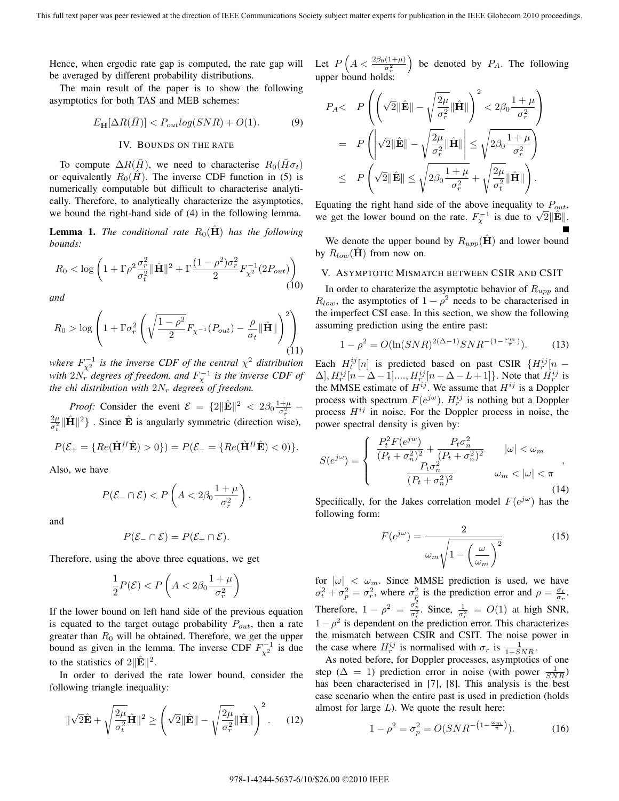Hence, when ergodic rate gap is computed, the rate gap will be averaged by different probability distributions.

The main result of the paper is to show the following asymptotics for both TAS and MEB schemes:

$$
E_{\bar{\mathbf{H}}}[\Delta R(\bar{H})] < P_{out} \log(SNR) + O(1). \tag{9}
$$

# IV. BOUNDS ON THE RATE

To compute  $\Delta R(H)$ , we need to characterise  $R_0(H\sigma_t)$ or equivalently  $R_0(H)$ . The inverse CDF function in (5) is numerically computable but difficult to characterise analytically. Therefore, to analytically characterize the asymptotics, we bound the right-hand side of (4) in the following lemma.

**Lemma 1.** *The conditional rate*  $R_0(H)$  *has the following bounds:*

$$
R_0 < \log \left( 1 + \Gamma \rho^2 \frac{\sigma_r^2}{\sigma_t^2} \|\hat{\mathbf{H}}\|^2 + \Gamma \frac{(1 - \rho^2)\sigma_r^2}{2} F_{\chi^2}^{-1} (2P_{out}) \right) \tag{10}
$$

*and*

$$
R_0 > \log \left( 1 + \Gamma \sigma_r^2 \left( \sqrt{\frac{1 - \rho^2}{2}} F_{\chi^{-1}}(P_{out}) - \frac{\rho}{\sigma_t} ||\hat{\mathbf{H}}|| \right)^2 \right) \tag{11}
$$

where  $F^{-1}_{\chi^2}$  is the inverse CDF of the central  $\chi^2$  distribution *with*  $2N_r^{\hat{}}$  *degrees of freedom, and*  $F_{\chi}^{-1}$  *is the inverse CDF of the chi distribution with*  $2N_r$  *degrees of freedom.* 

*Proof:* Consider the event  $\mathcal{E} = \{2\|\hat{\mathbf{E}}\|^2 < 2\beta_0 \frac{1+\mu}{\sigma_r^2} - \hat{\mathbf{E}}\mathbf{E}\mathbf{E}\mathbf{E}\mathbf{E}\mathbf{E}$  $\frac{2\mu}{\sigma_t^2} \|\hat{\mathbf{H}}\|^2$  . Since  $\hat{\mathbf{E}}$  is angularly symmetric (direction wise),

$$
P(\mathcal{E}_{+} = \{Re(\hat{\mathbf{H}}^H \hat{\mathbf{E}}) > 0\}) = P(\mathcal{E}_{-} = \{Re(\hat{\mathbf{H}}^H \hat{\mathbf{E}}) < 0)\}.
$$

Also, we have

$$
P(\mathcal{E}_-\cap\mathcal{E}) < P\left(A < 2\beta_0 \frac{1+\mu}{\sigma_r^2}\right),
$$

and

$$
P(\mathcal{E}_-\cap \mathcal{E})=P(\mathcal{E}_+\cap \mathcal{E}).
$$

Therefore, using the above three equations, we get

$$
\frac{1}{2}P(\mathcal{E}) < P\left(A < 2\beta_0 \frac{1+\mu}{\sigma_r^2}\right)
$$

If the lower bound on left hand side of the previous equation is equated to the target outage probability  $P_{out}$ , then a rate greater than  $R_0$  will be obtained. Therefore, we get the upper bound as given in the lemma. The inverse CDF  $F_{\gamma^2}^{-1}$  is due to the statistics of  $2\|\mathbf{E}\|^2$ .

In order to derived the rate lower bound, consider the following triangle inequality:

$$
\|\sqrt{2}\hat{\mathbf{E}} + \sqrt{\frac{2\mu}{\sigma_t^2}}\hat{\mathbf{H}}\|^2 \ge \left(\sqrt{2}\|\hat{\mathbf{E}}\| - \sqrt{\frac{2\mu}{\sigma_r^2}}\|\hat{\mathbf{H}}\|\right)^2. \tag{12}
$$

Let  $P\left(A < \frac{2\beta_0(1+\mu)}{\sigma_r^2}\right)$  be denoted by  $P_A$ . The following upper bound holds:

$$
P_A < P\left(\left(\sqrt{2}\|\hat{\mathbf{E}}\| - \sqrt{\frac{2\mu}{\sigma_r^2}}\|\hat{\mathbf{H}}\|\right)^2 < 2\beta_0 \frac{1+\mu}{\sigma_r^2} \right) \\
= P\left(\left|\sqrt{2}\|\hat{\mathbf{E}}\| - \sqrt{\frac{2\mu}{\sigma_r^2}}\|\hat{\mathbf{H}}\|\right) \le \sqrt{2\beta_0 \frac{1+\mu}{\sigma_r^2}} \right) \\
\le P\left(\sqrt{2}\|\hat{\mathbf{E}}\| \le \sqrt{2\beta_0 \frac{1+\mu}{\sigma_r^2}} + \sqrt{\frac{2\mu}{\sigma_t^2}}\|\hat{\mathbf{H}}\|\right).
$$

Equating the right hand side of the above inequality to  $P_{out}$ , we get the lower bound on the rate.  $F_{\chi}^{-1}$  is due to  $\sqrt{2} \|\hat{\mathbf{E}}\|$ .

We denote the upper bound by  $R_{upp}(\mathbf{H})$  and lower bound by  $R_{low}(\mathbf{H})$  from now on.

# V. ASYMPTOTIC MISMATCH BETWEEN CSIR AND CSIT

In order to charaterize the asymptotic behavior of  $R_{upp}$  and  $R_{low}$ , the asymptotics of  $1 - \rho^2$  needs to be characterised in the imperfect CSI case. In this section, we show the following assuming prediction using the entire past:

$$
1 - \rho^2 = O(\ln(SNR)^{2(\Delta - 1)} SNR^{-(1 - \frac{\omega_m}{\pi})}).
$$
 (13)

Each  $H_t^{ij}[n]$  is predicted based on past CSIR  $\{H_r^{ij}[n] \sim \Delta - 1\}$   $H^{ij}[n] \sim \Delta - 1$ .  $H^{ij}[n] \sim \Delta - 1$ .  $H^{ij}[n]$  is  $\Delta$ ,  $H_i^{ij}$   $\left[n-\Delta-1\right]$ ....,  $H_i^{ij}$   $\left[n-\Delta-L+1\right]$ . Note that  $H_i^{ij}$  is the MMSE estimate of  $H_i^{ij}$  We assume that  $H_i^{ij}$  is a Doppler the MMSE estimate of  $H^{ij}$ . We assume that  $H^{ij}$  is a Doppler process with spectrum  $F(e^{j\omega})$ .  $H_{ij}^{ij}$  is nothing but a Doppler<br>process  $H^{ij}$  in noise. For the Doppler process in noise, the process  $H^{ij}$  in noise. For the Doppler process in noise, the power spectral density is given by:

$$
S(e^{j\omega}) = \begin{cases} \frac{P_t^2 F(e^{jw})}{(P_t + \sigma_n^2)^2} + \frac{P_t \sigma_n^2}{(P_t + \sigma_n^2)^2} & |\omega| < \omega_m \\ \frac{P_t \sigma_n^2}{(P_t + \sigma_n^2)^2} & \omega_m < |\omega| < \pi \end{cases}
$$
\n
$$
(14)
$$

Specifically, for the Jakes correlation model  $F(e^{j\omega})$  has the following form:

$$
F(e^{j\omega}) = \frac{2}{\omega_m \sqrt{1 - \left(\frac{\omega}{\omega_m}\right)^2}}
$$
(15)

for  $|\omega| < \omega_m$ . Since MMSE prediction is used, we have  $\sigma_t^2 + \sigma_p^2 = \sigma_r^2$ , where  $\sigma_p^2$  is the prediction error and  $\rho = \frac{\sigma_t}{\sigma_r}$ . Therefore,  $1 - \rho^2 = \frac{\sigma_p^2}{\sigma_r^2}$ . Since,  $\frac{1}{\sigma_r^2} = O(1)$  at high SNR,  $1-\rho^2$  is dependent on the prediction error. This characterizes the mismatch between CSIR and CSIT. The noise power in the case where  $H_r^{ij}$  is normalised with  $\sigma_r$  is  $\frac{1}{1+SNR}$ .<br>As noted before for Doppler processes asymptotics

As noted before, for Doppler processes, asymptotics of one step ( $\Delta = 1$ ) prediction error in noise (with power  $\frac{1}{SNR}$ )<br>has been characterised in [7] [8]. This analysis is the best has been characterised in [7], [8]. This analysis is the best case scenario when the entire past is used in prediction (holds almost for large  $L$ ). We quote the result here:

$$
1 - \rho^2 = \sigma_p^2 = O(SNR^{-\left(1 - \frac{\omega_m}{\pi}\right)}).
$$
 (16)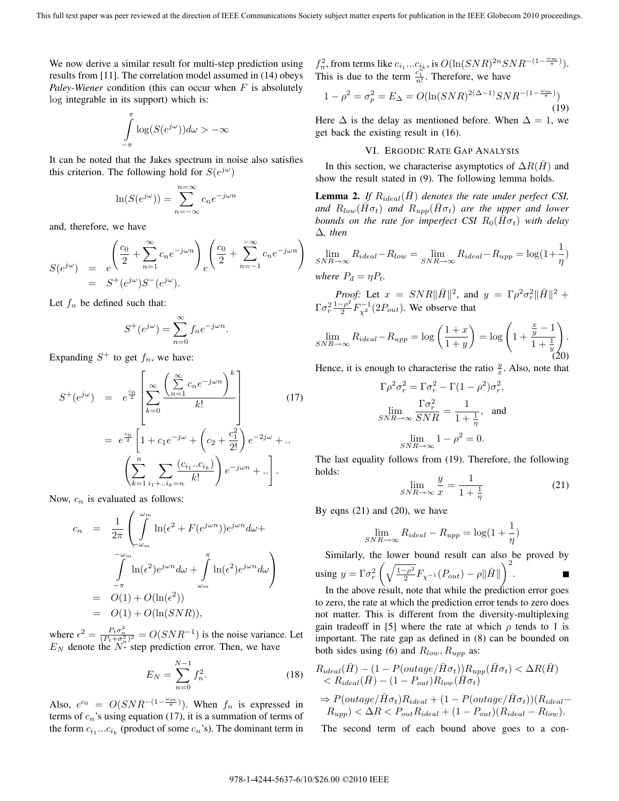We now derive a similar result for multi-step prediction using results from [11]. The correlation model assumed in (14) obeys *Paley-Wiener* condition (this can occur when F is absolutely log integrable in its support) which is:

$$
\int_{-\pi}^{\pi} \log(S(e^{j\omega})) d\omega > -\infty
$$

It can be noted that the Jakes spectrum in noise also satisfies this criterion. The following hold for  $S(e^{j\omega})$ 

$$
\ln(S(e^{j\omega})) = \sum_{n=-\infty}^{n=\infty} c_n e^{-j\omega n}
$$

and, therefore, we have

$$
S(e^{j\omega}) = e^{\left(\frac{c_0}{2} + \sum_{n=1}^{\infty} c_n e^{-j\omega n}\right)} e^{\left(\frac{c_0}{2} + \sum_{n=-1}^{-\infty} c_n e^{-j\omega n}\right)}
$$
  
=  $S^+(e^{j\omega})S^-(e^{j\omega}).$ 

Let  $f_n$  be defined such that:

$$
S^+(e^{j\omega}) = \sum_{n=0}^{\infty} f_n e^{-j\omega n}.
$$

Expanding  $S^+$  to get  $f_n$ , we have:

$$
S^{+}(e^{j\omega}) = e^{\frac{c_0}{2}} \left[ \sum_{k=0}^{\infty} \frac{\left( \sum_{n=1}^{\infty} c_n e^{-j\omega n} \right)^k}{k!} \right]
$$
  
=  $e^{\frac{c_0}{2}} \left[ 1 + c_1 e^{-j\omega} + \left( c_2 + \frac{c_1^2}{2!} \right) e^{-2j\omega} + \dots \left( \sum_{k=1}^n \sum_{i_1 + \dots + i_k = n} \frac{(c_{i_1} \dots c_{i_k})}{k!} \right) e^{-j\omega n} + \dots \right].$  (17)

Now,  $c_n$  is evaluated as follows:

$$
c_n = \frac{1}{2\pi} \left( \int_{-\omega_m}^{\omega_m} \ln(\epsilon^2 + F(e^{j\omega n})) e^{j\omega n} d\omega + \int_{-\omega_m}^{-\omega_m} \ln(\epsilon^2) e^{j\omega n} d\omega + \int_{\omega_m}^{\pi} \ln(\epsilon^2) e^{j\omega n} d\omega \right)
$$
  
=  $O(1) + O(\ln(\epsilon^2))$   
=  $O(1) + O(\ln(SNR)),$ 

where  $\epsilon^2 = \frac{P_t \sigma_n^2}{(P_t + \sigma_n^2)^2} = O(SNR^{-1})$  is the noise variance. Let  $E_N$  denote the  $N$ - step prediction error. Then, we have

$$
E_N = \sum_{n=0}^{N-1} f_n^2.
$$
 (18)

Also,  $e^{c_0} = O(SNR^{-(1-\frac{\omega_m}{\pi})})$ . When  $f_n$  is expressed in terms of c 's using equation (17) it is a summation of terms of terms of  $c_n$ 's using equation (17), it is a summation of terms of the form  $c_{i_1}...c_{i_k}$  (product of some  $c_n$ 's). The dominant term in  $f_n^2$ , from terms like  $c_{i_1}...c_{i_k}$ , is  $O(\ln(SNR)^{2n}SNR^{-(1-\frac{\omega_m}{\pi})})$ .<br>This is due to the term  $c_1^{n}$ . Therefore, we have This is due to the term  $\frac{c_1^{\text{th}}}{n!}$ . Therefore, we have

$$
1 - \rho^2 = \sigma_p^2 = E_\Delta = O(\ln(SNR)^{2(\Delta - 1)} SNR^{-(1 - \frac{\omega_m}{\pi})})
$$
\n(19)

Here  $\Delta$  is the delay as mentioned before. When  $\Delta = 1$ , we get back the existing result in (16).

## VI. ERGODIC RATE GAP ANALYSIS

In this section, we characterise asymptotics of  $\Delta R(\bar{H})$  and show the result stated in (9). The following lemma holds.

**Lemma 2.** If  $R_{ideal}(H)$  denotes the rate under perfect CSI, *and*  $R_{low}(\bar{H}\sigma_t)$  *and*  $R_{upp}(\bar{H}\sigma_t)$  *are the upper and lower bounds on the rate for imperfect CSI*  $R_0(\bar{H}\sigma_t)$  *with delay* Δ*, then*

$$
\lim_{SNR \to \infty} R_{ideal} - R_{low} = \lim_{SNR \to \infty} R_{ideal} - R_{upp} = \log(1 + \frac{1}{\eta})
$$
  
where  $P_d = \eta P_t$ .

*Proof:* Let  $x = SNR||H||^2$ , and  $y = \Gamma \rho^2 \sigma_r^2 ||H||^2 +$ <br> $\Gamma^{-\rho^2} E^{-1}(\partial P)$  We observe that  $\Gamma \sigma_r^2 \frac{1-\rho^2}{2} F_{\chi^2}^{-1} (2P_{out})$ . We observe that

$$
\lim_{SNR \to \infty} R_{ideal} - R_{upp} = \log\left(\frac{1+x}{1+y}\right) = \log\left(1 + \frac{\frac{x}{y} - 1}{1 + \frac{1}{y}}\right).
$$
\n(20)

Hence, it is enough to characterise the ratio  $\frac{y}{x}$ . Also, note that

$$
\Gamma \rho^2 \sigma_r^2 = \Gamma \sigma_r^2 - \Gamma (1 - \rho^2) \sigma_r^2,
$$
  
\n
$$
\lim_{SNR \to \infty} \frac{\Gamma \sigma_r^2}{SNR} = \frac{1}{1 + \frac{1}{\eta}}, \text{ and}
$$
  
\n
$$
\lim_{SNR \to \infty} 1 - \rho^2 = 0.
$$

The last equality follows from (19). Therefore, the following holds:

$$
\lim_{SNR \to \infty} \frac{y}{x} = \frac{1}{1 + \frac{1}{\eta}}
$$
\n(21)

By eqns  $(21)$  and  $(20)$ , we have

$$
\lim_{SNR \to \infty} R_{ideal} - R_{upp} = \log(1 + \frac{1}{\eta})
$$

Similarly, the lower bound result can also be proved by using  $y = \Gamma \sigma_r^2 \left( \sqrt{\frac{1-\rho^2}{2}} F_{\chi^{-1}}(P_{out}) - \rho ||\bar{H}|| \right)^2$ . In the above result, note that while the prediction error goes

to zero, the rate at which the prediction error tends to zero does not matter. This is different from the diversity-multiplexing gain tradeoff in [5] where the rate at which  $\rho$  tends to 1 is important. The rate gap as defined in (8) can be bounded on both sides using (6) and  $R_{low}, R_{upp}$  as:

$$
R_{ideal}(H) - (1 - P(outage/H\sigma_t))R_{upp}(H\sigma_t) < \Delta R(H)
$$
  
< 
$$
< R_{ideal}(\bar{H}) - (1 - P_{out})R_{low}(\bar{H}\sigma_t)
$$
  

$$
\Rightarrow P(outage/\bar{H}\sigma_t)R_{ideal} + (1 - P(outage/\bar{H}\sigma_t))(R_{ideal} - R_{upp}) < \Delta R < P_{out}R_{ideal} + (1 - P_{out})(R_{ideal} - R_{low}).
$$

The second term of each bound above goes to a con-